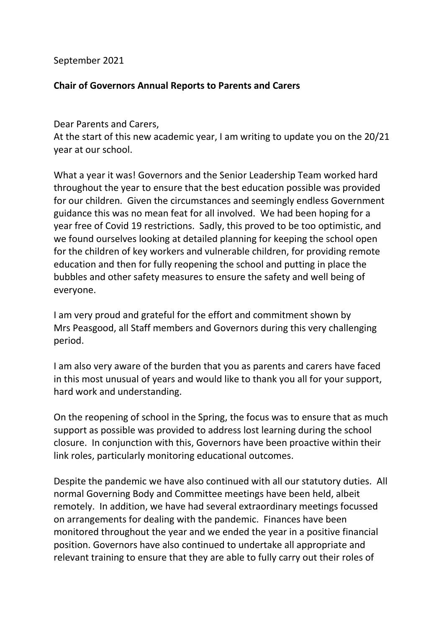September 2021

## **Chair of Governors Annual Reports to Parents and Carers**

Dear Parents and Carers,

At the start of this new academic year, I am writing to update you on the 20/21 year at our school.

What a year it was! Governors and the Senior Leadership Team worked hard throughout the year to ensure that the best education possible was provided for our children. Given the circumstances and seemingly endless Government guidance this was no mean feat for all involved. We had been hoping for a year free of Covid 19 restrictions. Sadly, this proved to be too optimistic, and we found ourselves looking at detailed planning for keeping the school open for the children of key workers and vulnerable children, for providing remote education and then for fully reopening the school and putting in place the bubbles and other safety measures to ensure the safety and well being of everyone.

I am very proud and grateful for the effort and commitment shown by Mrs Peasgood, all Staff members and Governors during this very challenging period.

I am also very aware of the burden that you as parents and carers have faced in this most unusual of years and would like to thank you all for your support, hard work and understanding.

On the reopening of school in the Spring, the focus was to ensure that as much support as possible was provided to address lost learning during the school closure. In conjunction with this, Governors have been proactive within their link roles, particularly monitoring educational outcomes.

Despite the pandemic we have also continued with all our statutory duties. All normal Governing Body and Committee meetings have been held, albeit remotely. In addition, we have had several extraordinary meetings focussed on arrangements for dealing with the pandemic. Finances have been monitored throughout the year and we ended the year in a positive financial position. Governors have also continued to undertake all appropriate and relevant training to ensure that they are able to fully carry out their roles of